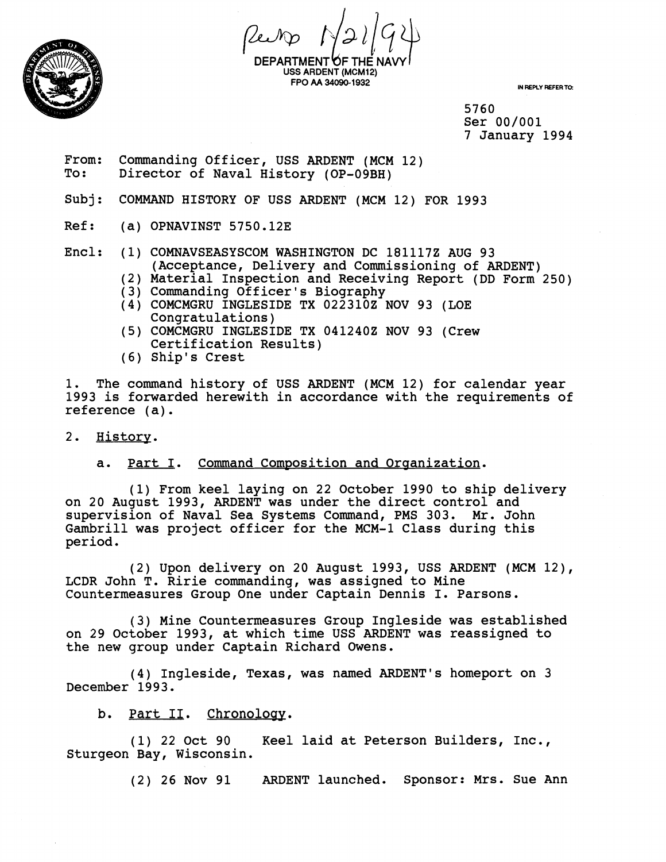

**DEPARTMENT~F THE NAW I USS ARDENT (MCM12) FPO AA 34090-1932 IN REPLY REFER TO:** 

5760 Ser 00/001 7 January 1994

- From: Commanding Officer, USS ARDENT (MCM 12)<br>To: Director of Naval History (OP-09BH) Director of Naval History (OP-09BH)
- Subj: COMMAND HISTORY OF USS ARDENT (MCM 12) FOR 1993
- Ref: (a) OPNAVINST 5750.12E

Encl: (1) COMNAVSEASYSCOM WASHINGTON DC 1811172 AUG 93 (Acceptance, Delivery and Commissioning of ARDENT)

- (2) Material Inspection and Receiving Report (DD Form 250)
- (3) Commanding Officer's Biography
- (4) COMCMGRU INGLESIDE TX 0223102 NOV 93 (LOE Congratulations)
- (5) COMCMGRU INGLESIDE TX 0412402 NOV 93 (Crew Certification Results)
- (6) Ship's Crest

1. The command history of USS ARDENT (MCM 12) for calendar year 1993 is forwarded herewith in accordance with the requirements of reference (a).

2. History.

## a. Part I. Command Composition and Organization.

(1) From keel laying on 22 October 1990 to ship delivery on 20 August 1993, ARDENT was under the direct control and supervision of Naval Sea Systems Command, PMS 303. Mr. John Gambrill was project officer for the MCM-1 Class during this period.

(2) Upon delivery on 20 August 1993, USS ARDENT (MCM 12), LCDR John T. Ririe commanding, was assigned to Mine Countermeasures Group One under Captain Dennis I. Parsons.

(3) Mine Countermeasures Group Ingleside was established on 29 October 1993, at which time USS ARDENT was reassigned to the new group under Captain Richard Owens.

(4) Ingleside, Texas, was named ARDENT'S homeport on 3 December 1993.

b. Part II. Chronology.

(1) 22 Oct 90 Keel laid at Peterson Builders, Inc., Sturgeon Bay, Wisconsin.

(2) 26 Nov 91 ARDENT launched. Sponsor: Mrs. Sue Ann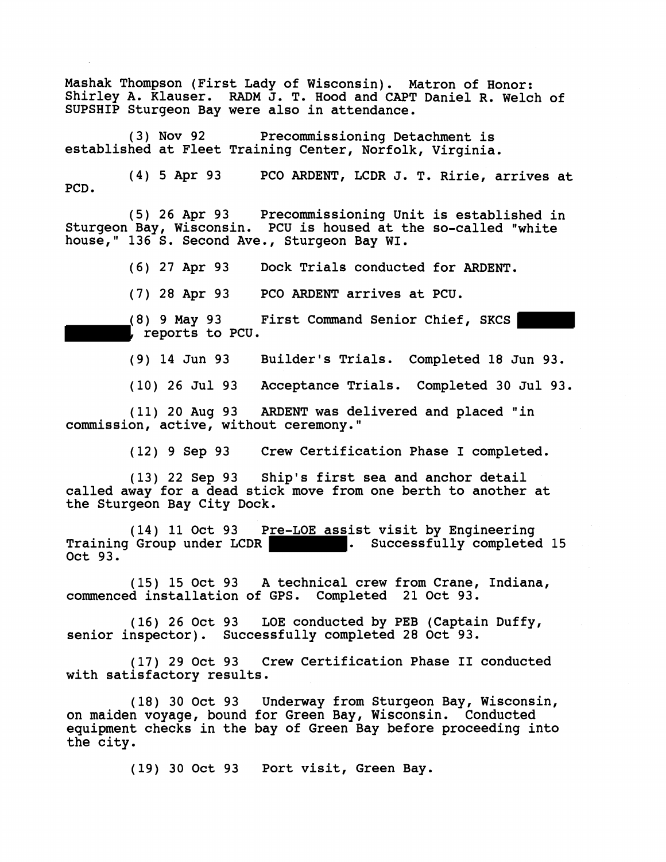Mashak Thompson (First Lady of Wisconsin). Matron of Honor: Shirley A. Klauser. RADM J. T. Hood and CAPT Daniel R. Welch of SUPSHIP Sturgeon Bay were also in attendance.

(3) Nov 92 Precommissioning Detachment is established at Fleet Training Center, Norfolk, Virginia.

(4) 5 Apr 93 PC0 ARDENT, LCDR J. T. Ririe, arrives at PCD.

(5) 26 Apr 93 Precommissioning Unit is established in Sturgeon Bay, Wisconsin. PCU is housed at the so-called "white house," 136 S. Second Ave., Sturgeon Bay WI.

(6) 27 Apr 93 Dock Trials conducted for ARDENT.

(7) 28 Apr 93 PC0 ARDENT arrives at PCU.

(8) 9 May 93 First Command Senior Chief, SKCS |<br>| reports to PCU.

(9) 14 Jun 93 Builder's Trials. Completed 18 Jun 93.

(10) 26 Jul 93 Acceptance Trials. Completed 30 Jul 93.

(11) 20 Aug 93 ARDENT was delivered and placed "in commission, active, without ceremony."

(12) 9 Sep 93 Crew Certification Phase I completed.

(13) 22 Sep 93 Ship's first sea and anchor detail called away for a dead stick move from one berth to another at the Sturgeon Bay City Dock.

(14) 11 Oct 93 Pre-LOE assist visit by Engineering<br>Group under LCDR (Group and Completed 15 Training Group under LCDR **15 and 16 and 16 and 16 and 16 and 16 and 16 and 16 and 16 and 16 and 16 and 16 and 16 and 16 and 16 and 16 and 16 and 16 and 16 and 16 and 16 and 16 and 16 and 16 and 16 and 16 and 16 and 16 and** Oct 93.

(15) 15 Oct 93 A technical crew from Crane, Indiana, commenced installation of GPS. Completed 21 Oct 93.

(16) 26 Oct 93 LOE conducted by PEB (Captain Duffy, senior inspector). Successfully completed 28 Oct 93.

(17) 29 Oct 93 Crew Certification Phase **I1** conducted with satisfactory results.

(18) 30 Oct 93 Underway from Sturgeon Bay, Wisconsin, on maiden voyage, bound for Green Bay, Wisconsin. Conducted equipment checks in the bay of Green Bay before proceeding into the city.

(19) 30 Oct 93 Port visit, Green Bay.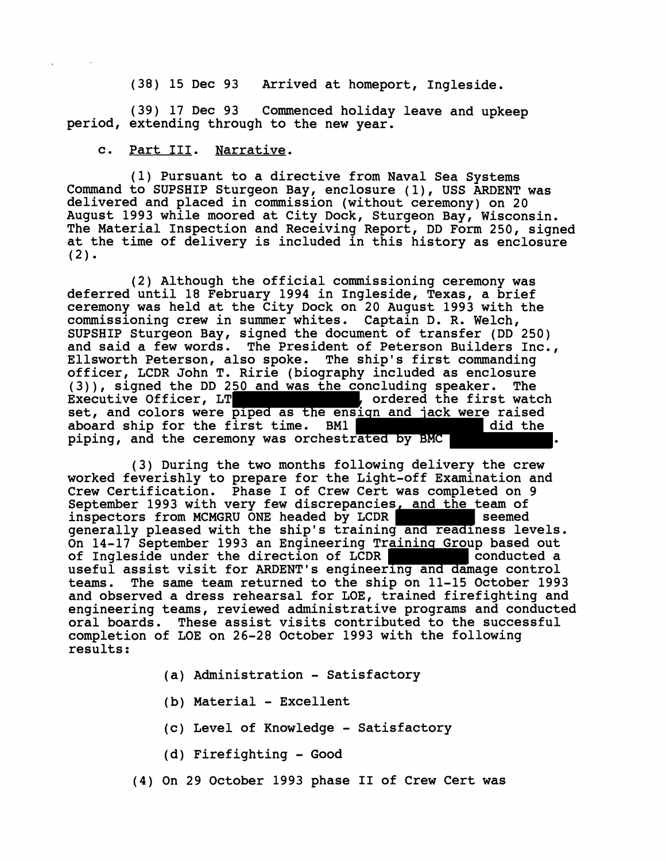(38) 15 Dec 93 Arrived at homeport, Ingleside.

(39) 17 Dec 93 Commenced holiday leave and upkeep period, extending through to the new year.

## c. Part **111.** Narrative.

(1) Pursuant to a directive from Naval Sea Systems Command to SUPSHIP Sturgeon Bay, enclosure (I), USS ARDENT was delivered and placed in commission (without ceremony) on 20 August 1993 while moored at City Dock, Sturgeon Bay, Wisconsin. The Material Inspection and Receiving Report, DD Form 250, signed at the time of delivery is included in this history as enclosure  $(2)$ .

(2) Although the official commissioning ceremony was deferred until 18 February 1994 in Ingleside, Texas, a brief ceremony was held at the City Dock on 20 August 1993 with the commissioning crew in summer whites. Captain D. R. Welch, SUPSHIP Sturgeon Bay, signed the document of transfer (DD 250) and said a few words. The President of Peterson Builders Inc.,<br>Ellsworth Peterson, also spoke. The ship's first commanding Ellsworth Peterson, also spoke. officer, LCDR John T. Ririe (biography included as enclosure<br>(3)), signed the DD 250 and was the concluding speaker. The (3)), signed the DD 250 and was the concluding speaker. The I ordered the first watch set, and colors were piped as the ensign and jack were raised<br>aboard ship for the first time. BM1 aboard ship for the first time. BM1 piping, and the ceremony was orchestrated by BMC

(3) During the two months following delivery the crew worked feverishly to prepare for the Light-off Examination and Crew Certification. Phase I of Crew Cert was completed on 9 September 1993 with very few discrepancies, and the team of inspectors from MCMGRU ONE headed by LCDR seemed generally pleased with the ship's training and readiness levels. On 14-17 September 1993 an Engineering Training Group based out of Ingleside under the direction of LCDR of Ingleside under the direction of LCDR useful assist visit for ARDENT'S engineering and damage control teams. The same team returned to the ship on 11-15 October 1993 and observed a dress rehearsal for LOE, trained firefighting and engineering teams, reviewed administrative programs and conducted oral boards. These assist visits contributed to the successful completion of LOE on 26-28 October 1993 with the following results :

- (a) Administration Satisfactory
- (b) Material Excellent
- (c) Level of Knowledge Satisfactory
- (d) Firefighting Good
- (4) On 29 October 1993 phase I1 of Crew Cert was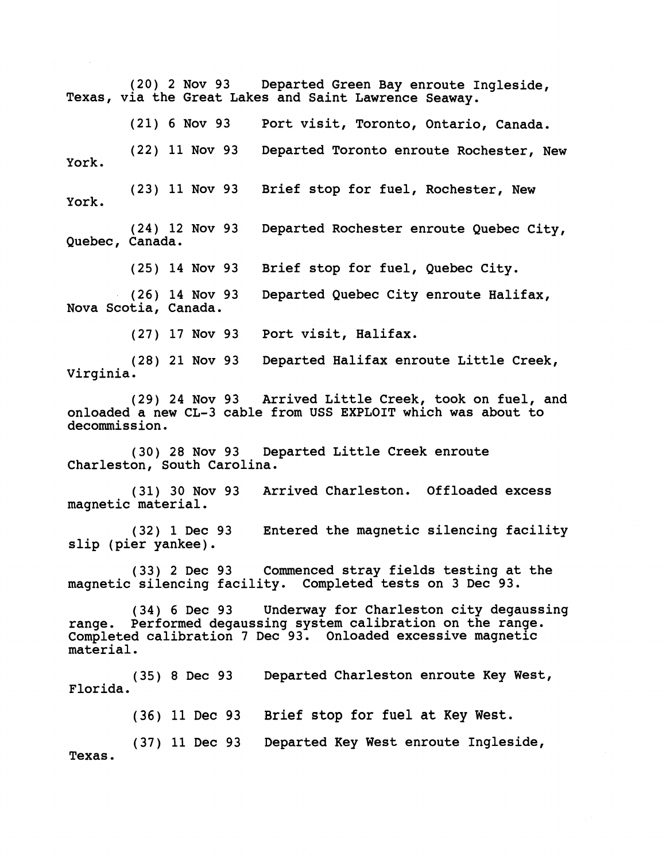**(20) 2** Nov **93** Departed Green Bay enroute Ingleside, Texas, via the Great Lakes and Saint Lawrence Seaway. **6** Nov **93** Port visit, Toronto, Ontario, Canada. **(22) 11** Nov **93** Departed Toronto enroute Rochester, New York. **(23) 11** Nov **93** Brief stop for fuel, Rochester, New York. **(24) 12** Nov **93** Departed Rochester enroute Quebec City, Quebec, Canada. **(25) 14** Nov **93** Brief stop for fuel, Quebec City. **(26) 14** Nov **93** Departed Quebec City enroute Halifax, Nova Scotia, Canada. **(27) 17** Nov **93** Port visit, Halifax. **(28) 21** Nov **93** Departed Halifax enroute Little Creek, Virginia. **(29) 24** Nov **93** Arrived Little Creek, took on fuel, and onloaded a new CL-3 cable from USS EXPLOIT which was about to decommission. **(30) 28** Nov **93** Departed Little Creek enroute Charleston, South Carolina. **(31) 30** Nov **93** Arrived Charleston. Offloaded excess magnetic material. **(32) 1** Dec **93** Entered the magnetic silencing facility slip (pier yankee). **(33) 2** Dec **93** Commenced stray fields testing at the magnetic silencing facility. Completed tests on **3** Dec **93. (34) 6** Dec **93** Underway for Charleston city degaussing range. Performed degaussing system calibration on the range. Completed calibration **7** Dec **93.** Onloaded excessive magnetic material. **(35) 8** Dec **93** Departed Charleston enroute Key West, Florida. (36) 11 **Dec** 93 **Brief stop for fuel at Key West. (37) 11** Dec **93** Departed Key West enroute Ingleside, Texas.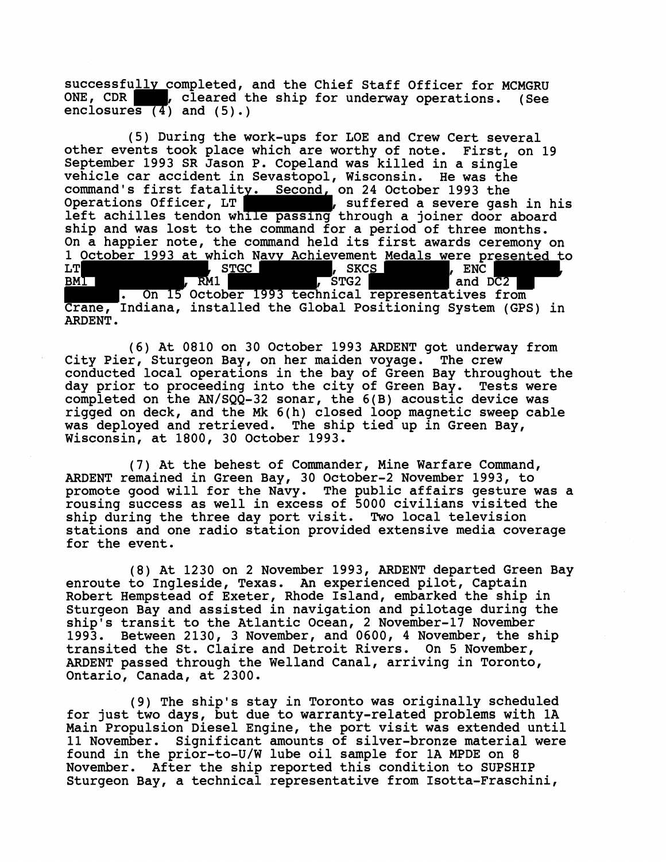successfully completed, and the Chief Staff Officer for MCMGRU<br>ONE, CDR , cleared the ship for underway operations. (See , cleared the ship for underway operations. (See enclosures  $(4)$  and  $(5)$ .)

(5) During the work-ups for LOE and Crew Cert several other events took place which are worthy of note. First, on 19 September 1993 SR Jason P. Copeland was killed in a single vehicle car accident in Sevastopol, Wisconsin. He was the command's first fatality. Second, on 24 October 1993 the<br>Operations Officer, LT (2008), suffered a severe gash in his Operations Officer, LT **, suffered a severe gash in his** left achilles tendon while passing through a joiner door aboard ship and was lost to the command for a period of three months. On a happier note, the command held its first awards ceremony on 1 October 1993 at which Navy Achievement Medals were presented to<br>LT THE REAL STIGE TO SKES TO THE REAL PROPERTY LT , STGC , SKCS , ENC , ENC , ENC , ENC , ENC , ENC , ENC , ENC , ENC , ENC , ENC , ENC , ENC , ENC , ENC , ENC , ENC , ENC , ENC , ENC , ENC , ENC , ENC , ENC , ENC , ENC , ENC , ENC , ENC , ENC , ENC , ENC , ENC , ENC ,

Crane, Indiana, installed the Global positioning System (GPS) in ARDENT.

(6) At 0810 on 30 October 1993 ARDENT got underway from City Pier, Sturgeon Bay, on her maiden voyage. The crew conducted local operations in the bay of Green Bay throughout the day prior to proceeding into the city of Green Bay. Tests were completed on the AN/SQQ-32 sonar, the 6(B) acoustic device was rigged on deck, and the Mk 6(h) closed loop magnetic sweep cable was deployed and retrieved. The ship tied up in Green Bay, Wisconsin, at 1800, 30 October 1993.

(7) At the behest of Commander, Mine Warfare Command, ARDENT remained in Green Bay, 30 October-2 November 1993, to promote good will for the Navy. The public affairs gesture was a rousing success as well in excess of 5000 civilians visited the ship during the three day port visit. Two local television stations and one radio station provided extensive media coverage for the event.

(8) At 1230 on 2 November 1993, ARDENT departed Green Bay enroute to Ingleside, Texas. An experienced pilot, Captain Robert Hempstead of Exeter, Rhode Island, embarked the ship in Sturgeon Bay and assisted in navigation and pilotage during the ship's transit to the Atlantic Ocean, 2 November-17 November 1993. Between 2130, 3 November, and 0600, 4 November, the ship transited the St. Claire and Detroit Rivers. On 5 November, ARDENT passed through the Welland Canal, arriving in Toronto, Ontario, Canada, at 2300.

(9) The ship's stay in Toronto was originally scheduled for just two days, but due to warranty-related problems with **1A**  Main Propulsion Diesel Engine, the port visit was extended until 11 November. Significant amounts of silver-bronze material were found in the prior-to-U/W lube oil sample for 1A MPDE on 8 November. After the ship reported this condition to SUPSHIP Sturgeon Bay, a technical representative from Isotta-Fraschini,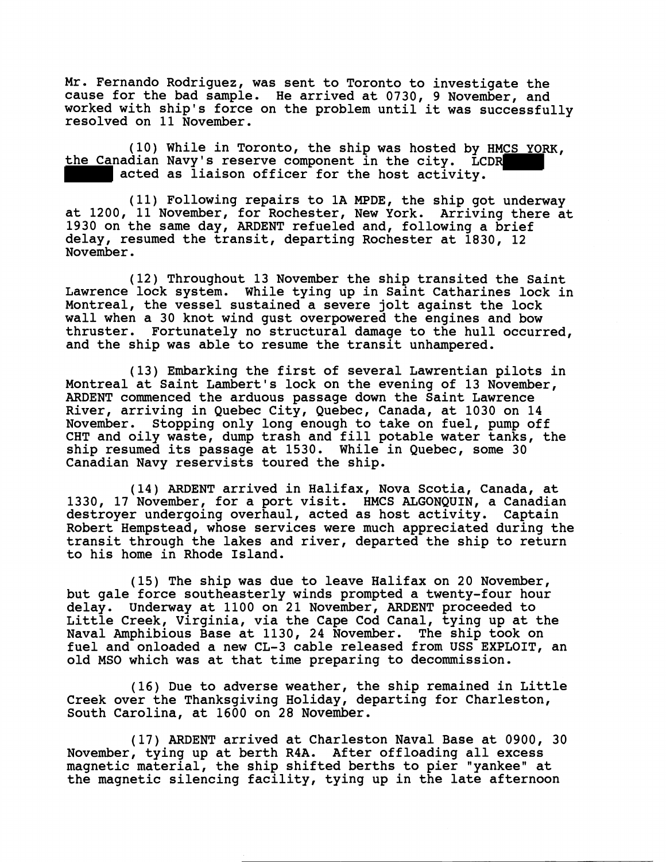Mr. Fernando Rodriguez, was sent to Toronto to investigate the cause for the bad sample. He arrived at 0730, 9 November, and worked with ship's force on the problem until it was successfully resolved on 11 November.

(10) While in Toronto, the ship was hosted by HMCS YORK, the Canadian Navy's reserve component in the city. LCDR acted as liaison officer for the host activity.

(11) Following repairs to 1A MPDE, the ship got underway at 1200, 11 November, for Rochester, New York. Arriving there at 1930 on the same day, ARDENT refueled and, following a brief delay, resumed the transit, departing Rochester at 1830, 12 November.

(12) Throughout 13 November the ship transited the Saint Lawrence lock system. While tying up in Saint Catharines lock in Montreal, the vessel sustained a severe jolt against the lock wall when a 30 knot wind gust overpowered the engines and bow thruster. Fortunately no structural damage to the hull occurred, and the ship was able to resume the transit unhampered.

(13) Enbarking the first of several Lawrentian pilots in Montreal at Saint Lambert's lock on the evening of 13 November, ARDENT commenced the arduous passage down the Saint Lawrence River, arriving in Quebec City, Quebec, Canada, at 1030 on 14 November. Stopping only long enough to take on fuel, pump off CHT and oily waste, dump trash and fill potable water tanks, the ship resumed its passage at 1530. While in Quebec, some 30 Canadian Navy reservists toured the ship.

(14) ARDENT arrived in Halifax, Nova Scotia, Canada, at 1330, 17 November, for a port visit. HMCS ALGONQUIN, a Canadian destroyer undergoing overhaul, acted as host activity. Captain Robert Hempstead, whose services were much appreciated during the transit through the lakes and river, departed the ship to return to his home in Rhode Island.

(15) The ship was due to leave Halifax on 20 November, but gale force southeasterly winds prompted a twenty-four hour delay. Underway at 1100 on 21 November, ARDENT proceeded to Little Creek, Virginia, via the Cape Cod Canal, tying up at the Naval Amphibious Base at 1130, 24 November. The ship took on fuel and onloaded a new CL-3 cable released from USS EXPLOIT, an old MSO which was at that time preparing to decommission.

(16) Due to adverse weather, the ship remained in Little Creek over the Thanksgiving Holiday, departing for Charleston, South Carolina, at 1600 on 28 November.

(17) ARDENT arrived at Charleston Naval Base at 0900, 30 November, tying up at berth R4A. After offloading all excess magnetic material, the ship shifted berths to pier "yankee" at the magnetic silencing facility, tying up in the late afternoon